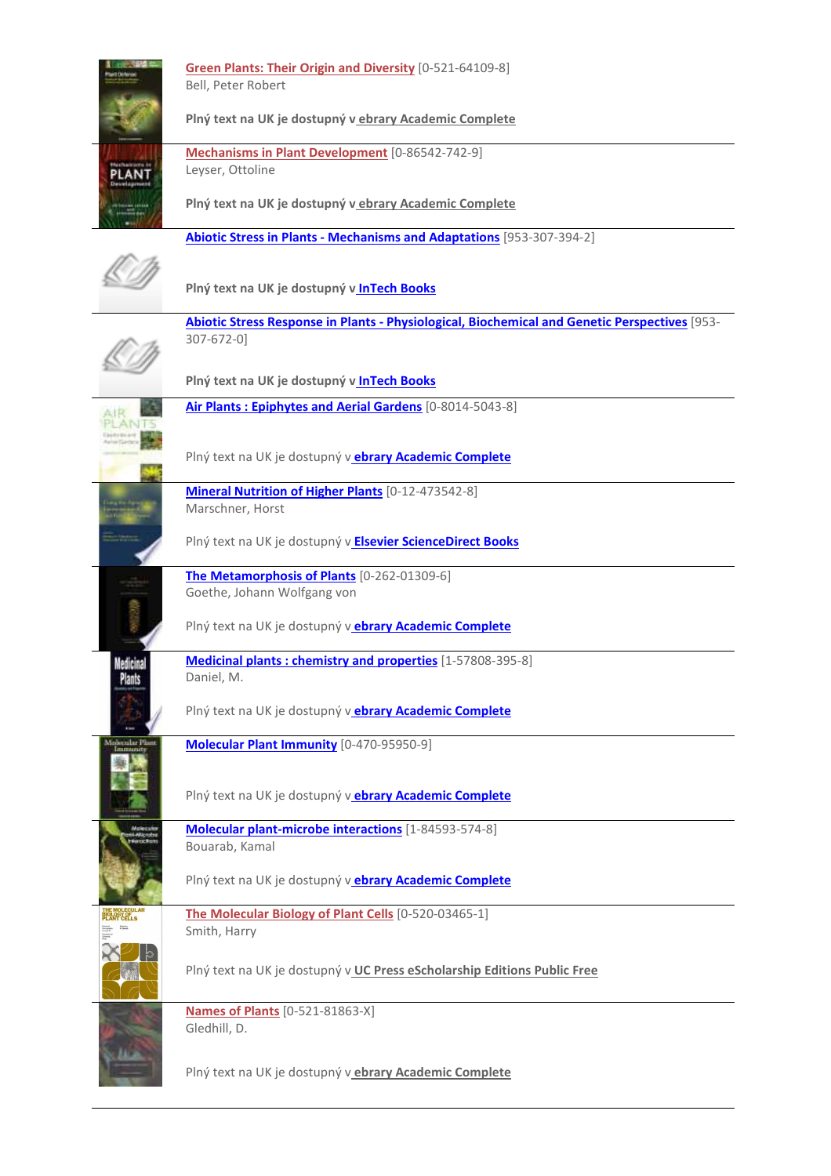|             | <b>Green Plants: Their Origin and Diversity</b> [0-521-64109-8]<br>Bell, Peter Robert                       |
|-------------|-------------------------------------------------------------------------------------------------------------|
|             | Plný text na UK je dostupný v ebrary Academic Complete                                                      |
|             | Mechanisms in Plant Development [0-86542-742-9]<br>Leyser, Ottoline                                         |
|             | Plný text na UK je dostupný v ebrary Academic Complete                                                      |
|             | <b>Abiotic Stress in Plants - Mechanisms and Adaptations</b> [953-307-394-2]                                |
|             | Plný text na UK je dostupný v InTech Books                                                                  |
|             | Abiotic Stress Response in Plants - Physiological, Biochemical and Genetic Perspectives [953-<br>307-672-0] |
|             | Plný text na UK je dostupný v InTech Books                                                                  |
|             | Air Plants: Epiphytes and Aerial Gardens [0-8014-5043-8]                                                    |
|             | Plný text na UK je dostupný v ebrary Academic Complete                                                      |
|             | <b>Mineral Nutrition of Higher Plants</b> [0-12-473542-8]<br>Marschner, Horst                               |
|             | Plný text na UK je dostupný v Elsevier ScienceDirect Books                                                  |
|             | The Metamorphosis of Plants [0-262-01309-6]                                                                 |
|             | Goethe, Johann Wolfgang von                                                                                 |
|             | Plný text na UK je dostupný v ebrary Academic Complete                                                      |
| Medicina    | Medicinal plants: chemistry and properties [1-57808-395-8]<br>Daniel, M.                                    |
|             | Plný text na UK je dostupný v ebrary Academic Complete                                                      |
| Maxenbe Pla | Molecular Plant Immunity [0-470-95950-9]                                                                    |
|             | Plný text na UK je dostupný v <b>ebrary Academic Complete</b>                                               |
|             | Molecular plant-microbe interactions [1-84593-574-8]<br>Bouarab, Kamal                                      |
|             | Plný text na UK je dostupný v ebrary Academic Complete                                                      |
|             | The Molecular Biology of Plant Cells [0-520-03465-1]<br>Smith, Harry                                        |
|             | Plný text na UK je dostupný v UC Press eScholarship Editions Public Free                                    |
|             | <b>Names of Plants</b> [0-521-81863-X]<br>Gledhill, D.                                                      |
|             | Plný text na UK je dostupný v ebrary Academic Complete                                                      |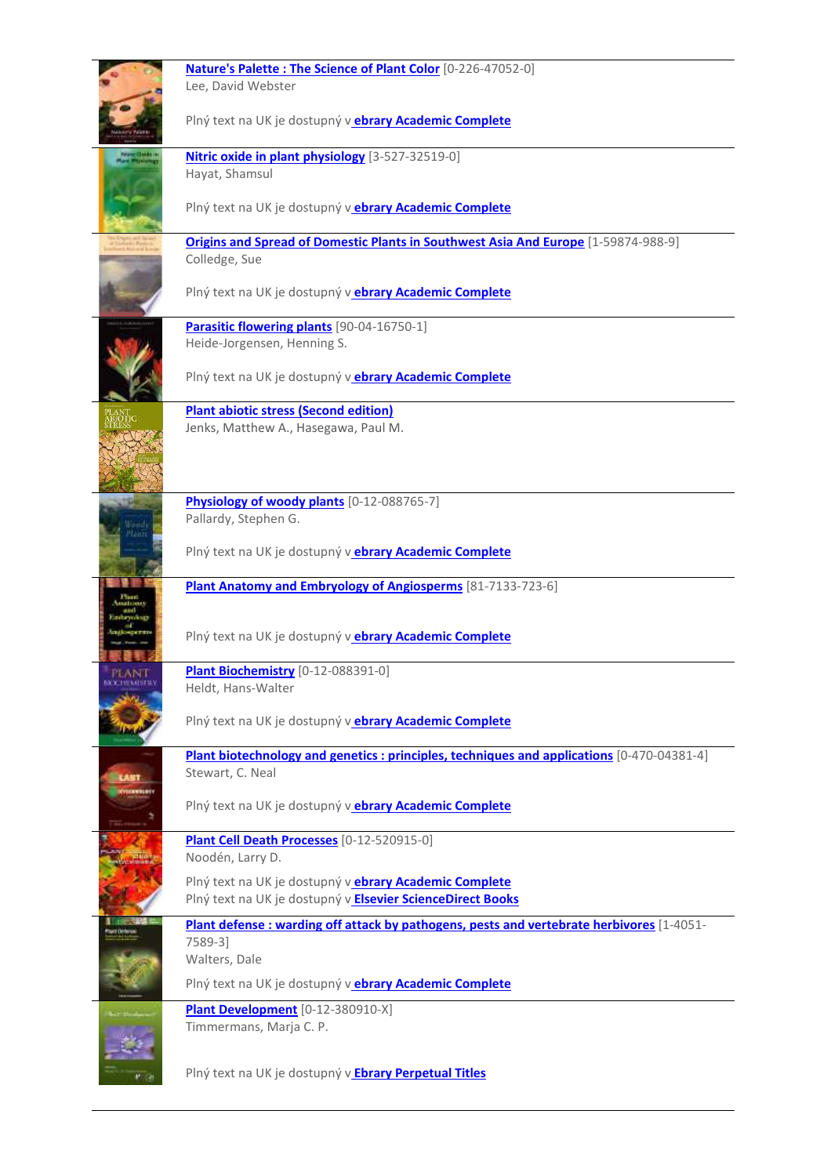|                | Nature's Palette: The Science of Plant Color [0-226-47052-0]<br>Lee, David Webster                                          |
|----------------|-----------------------------------------------------------------------------------------------------------------------------|
|                | Plný text na UK je dostupný v ebrary Academic Complete                                                                      |
|                | Nitric oxide in plant physiology [3-527-32519-0]<br>Hayat, Shamsul                                                          |
|                | Plný text na UK je dostupný vebrary Academic Complete                                                                       |
|                | Origins and Spread of Domestic Plants in Southwest Asia And Europe [1-59874-988-9]                                          |
|                | Colledge, Sue                                                                                                               |
|                | Plný text na UK je dostupný v ebrary Academic Complete                                                                      |
|                | Parasitic flowering plants [90-04-16750-1]                                                                                  |
|                | Heide-Jorgensen, Henning S.                                                                                                 |
|                | Plný text na UK je dostupný v ebrary Academic Complete                                                                      |
|                | <b>Plant abiotic stress (Second edition)</b>                                                                                |
|                | Jenks, Matthew A., Hasegawa, Paul M.                                                                                        |
|                |                                                                                                                             |
|                | Physiology of woody plants [0-12-088765-7]                                                                                  |
|                | Pallardy, Stephen G.                                                                                                        |
|                | Plný text na UK je dostupný v ebrary Academic Complete                                                                      |
|                | Plant Anatomy and Embryology of Angiosperms [81-7133-723-6]                                                                 |
|                |                                                                                                                             |
|                |                                                                                                                             |
|                | Plný text na UK je dostupný vebrary Academic Complete                                                                       |
|                | Plant Biochemistry [0-12-088391-0]                                                                                          |
| <b>XTEMSTE</b> | Heldt, Hans-Walter                                                                                                          |
|                | Plný text na UK je dostupný v ebrary Academic Complete                                                                      |
|                | Plant biotechnology and genetics : principles, techniques and applications [0-470-04381-4]                                  |
| <b>LANT</b>    | Stewart, C. Neal                                                                                                            |
|                | Plný text na UK je dostupný v ebrary Academic Complete                                                                      |
|                | Plant Cell Death Processes [0-12-520915-0]<br>Noodén, Larry D.                                                              |
|                | Plný text na UK je dostupný v ebrary Academic Complete<br>Plný text na UK je dostupný v <b>Elsevier ScienceDirect Books</b> |
|                | Plant defense : warding off attack by pathogens, pests and vertebrate herbivores [1-4051-                                   |
|                | 7589-3]                                                                                                                     |
|                | Walters, Dale                                                                                                               |
|                | Plný text na UK je dostupný v ebrary Academic Complete                                                                      |
|                | Plant Development [0-12-380910-X]                                                                                           |
|                | Timmermans, Marja C. P.                                                                                                     |
|                |                                                                                                                             |